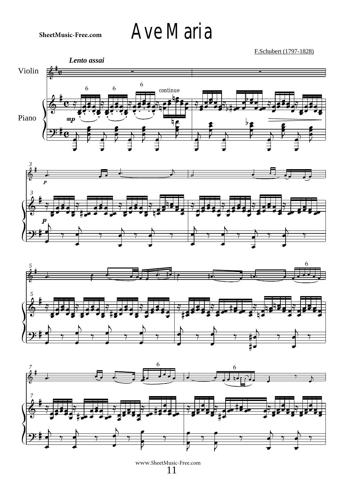

F.Schubert (1797-1828)









11 www.[SheetMusic-Free.com](http://sheetmusic-free.com/)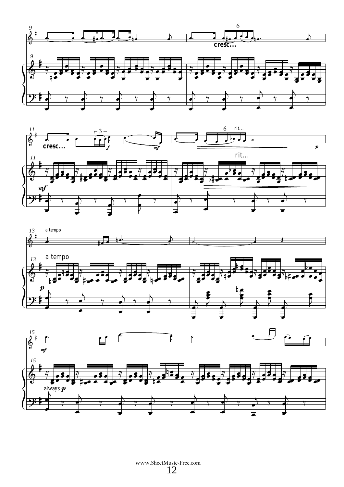





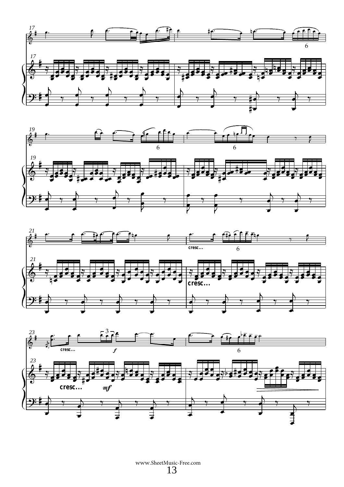







13 www.[SheetMusic-Free.com](http://sheetmusic-free.com/)